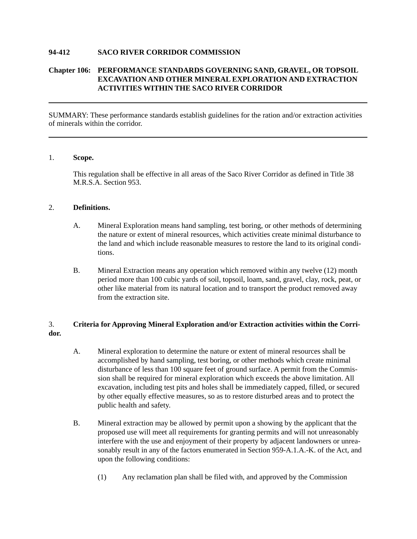#### **94-412 SACO RIVER CORRIDOR COMMISSION**

### **Chapter 106: PERFORMANCE STANDARDS GOVERNING SAND, GRAVEL, OR TOPSOIL EXCAVATION AND OTHER MINERAL EXPLORATION AND EXTRACTION ACTIVITIES WITHIN THE SACO RIVER CORRIDOR**

SUMMARY: These performance standards establish guidelines for the ration and/or extraction activities of minerals within the corridor.

#### 1. **Scope.**

This regulation shall be effective in all areas of the Saco River Corridor as defined in Title 38 M.R.S.A. Section 953.

#### 2. **Definitions.**

- A. Mineral Exploration means hand sampling, test boring, or other methods of determining the nature or extent of mineral resources, which activities create minimal disturbance to the land and which include reasonable measures to restore the land to its original conditions.
- B. Mineral Extraction means any operation which removed within any twelve (12) month period more than 100 cubic yards of soil, topsoil, loam, sand, gravel, clay, rock, peat, or other like material from its natural location and to transport the product removed away from the extraction site.

## 3. **Criteria for Approving Mineral Exploration and/or Extraction activities within the Corridor.**

- A. Mineral exploration to determine the nature or extent of mineral resources shall be accomplished by hand sampling, test boring, or other methods which create minimal disturbance of less than 100 square feet of ground surface. A permit from the Commission shall be required for mineral exploration which exceeds the above limitation. All excavation, including test pits and holes shall be immediately capped, filled, or secured by other equally effective measures, so as to restore disturbed areas and to protect the public health and safety.
- B. Mineral extraction may be allowed by permit upon a showing by the applicant that the proposed use will meet all requirements for granting permits and will not unreasonably interfere with the use and enjoyment of their property by adjacent landowners or unreasonably result in any of the factors enumerated in Section 959-A.1.A.-K. of the Act, and upon the following conditions:
	- (1) Any reclamation plan shall be filed with, and approved by the Commission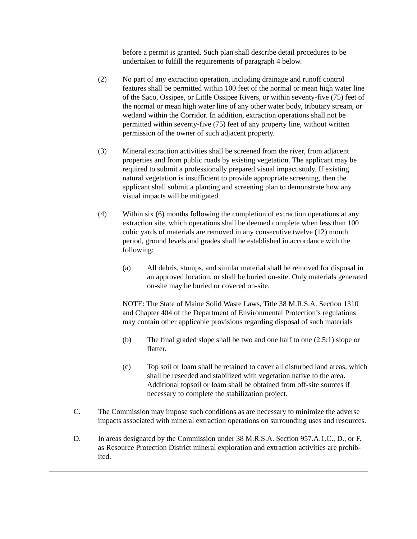before a permit is granted. Such plan shall describe detail procedures to be undertaken to fulfill the requirements of paragraph 4 below.

- (2) No part of any extraction operation, including drainage and runoff control features shall be permitted within 100 feet of the normal or mean high water line of the Saco, Ossipee, or Little Ossipee Rivers, or within seventy-five (75) feet of the normal or mean high water line of any other water body, tributary stream, or wetland within the Corridor. In addition, extraction operations shall not be permitted within seventy-five (75) feet of any property line, without written permission of the owner of such adjacent property.
- (3) Mineral extraction activities shall be screened from the river, from adjacent properties and from public roads by existing vegetation. The applicant may be required to submit a professionally prepared visual impact study. If existing natural vegetation is insufficient to provide appropriate screening, then the applicant shall submit a planting and screening plan to demonstrate how any visual impacts will be mitigated.
- (4) Within six (6) months following the completion of extraction operations at any extraction site, which operations shall be deemed complete when less than 100 cubic yards of materials are removed in any consecutive twelve (12) month period, ground levels and grades shall be established in accordance with the following:
	- (a) All debris, stumps, and similar material shall be removed for disposal in an approved location, or shall be buried on-site. Only materials generated on-site may be buried or covered on-site.

NOTE: The State of Maine Solid Waste Laws, Title 38 M.R.S.A. Section 1310 and Chapter 404 of the Department of Environmental Protection's regulations may contain other applicable provisions regarding disposal of such materials

- (b) The final graded slope shall be two and one half to one (2.5:1) slope or flatter.
- (c) Top soil or loam shall be retained to cover all disturbed land areas, which shall be reseeded and stabilized with vegetation native to the area. Additional topsoil or loam shall be obtained from off-site sources if necessary to complete the stabilization project.
- C. The Commission may impose such conditions as are necessary to minimize the adverse impacts associated with mineral extraction operations on surrounding uses and resources.
- D. In areas designated by the Commission under 38 M.R.S.A. Section 957.A.1.C., D., or F. as Resource Protection District mineral exploration and extraction activities are prohibited.